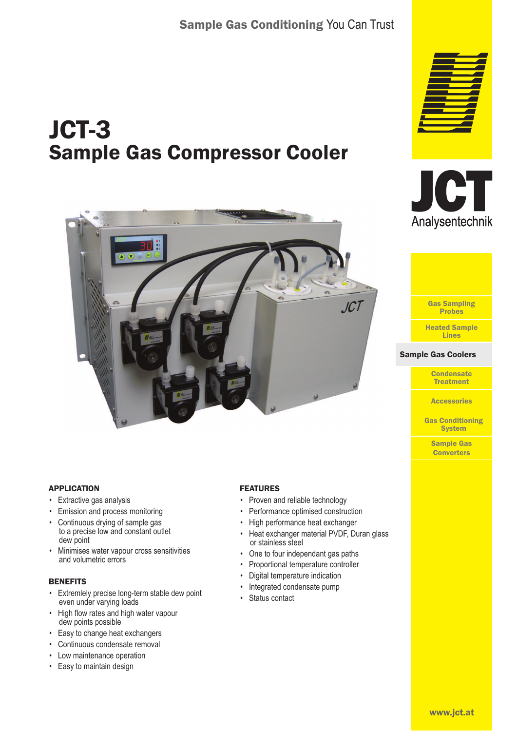# JCT-3 Sample Gas Compressor Cooler



## APPLICATION

- Extractive gas analysis
- Emission and process monitoring
- Continuous drying of sample gas to a precise low and constant outlet dew point
- Minimises water vapour cross sensitivities and volumetric errors

#### **BENEFITS**

- Extremlely precise long-term stable dew point even under varying loads
- High flow rates and high water vapour dew points possible
- Easy to change heat exchangers
- Continuous condensate removal
- Low maintenance operation
- Easy to maintain design

## FEATURES

- Proven and reliable technology
- Performance optimised construction
- High performance heat exchanger
- Heat exchanger material PVDF, Duran glass or stainless steel
- One to four independant gas paths
- Proportional temperature controller
- Digital temperature indication
- Integrated condensate pump
- Status contact





Heated Sample Lines Gas Sampling Probes

#### Sample Gas Coolers

**Condensate** Treatment

**Accessories** 

Gas Conditioning **System** 

Sample Gas **Converters**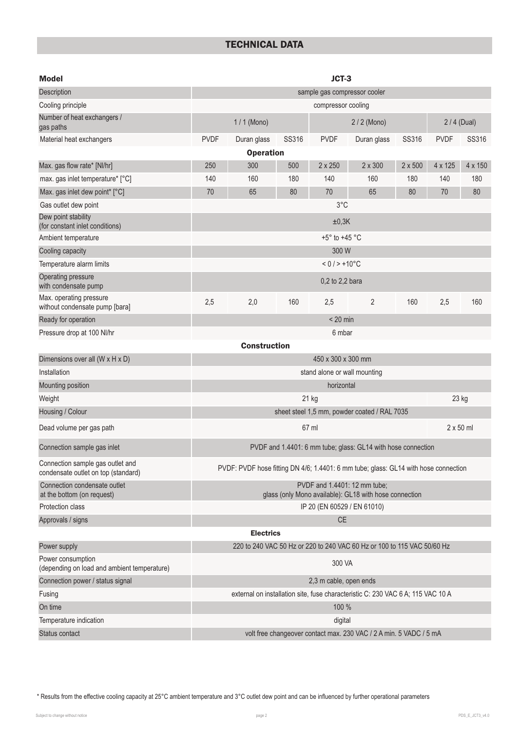# TECHNICAL DATA

| <b>Model</b>                                                            | JCT-3                                                                                  |                     |              |             |                                                                         |                |             |         |  |  |  |  |  |
|-------------------------------------------------------------------------|----------------------------------------------------------------------------------------|---------------------|--------------|-------------|-------------------------------------------------------------------------|----------------|-------------|---------|--|--|--|--|--|
| Description                                                             | sample gas compressor cooler                                                           |                     |              |             |                                                                         |                |             |         |  |  |  |  |  |
| Cooling principle                                                       | compressor cooling                                                                     |                     |              |             |                                                                         |                |             |         |  |  |  |  |  |
| Number of heat exchangers /<br>gas paths                                | $1/1$ (Mono)                                                                           |                     |              |             | $2/2$ (Mono)                                                            | $2/4$ (Dual)   |             |         |  |  |  |  |  |
| Material heat exchangers                                                | <b>PVDF</b>                                                                            | Duran glass         | <b>SS316</b> | <b>PVDF</b> | Duran glass                                                             | <b>SS316</b>   | <b>PVDF</b> | SS316   |  |  |  |  |  |
| <b>Operation</b>                                                        |                                                                                        |                     |              |             |                                                                         |                |             |         |  |  |  |  |  |
| Max. gas flow rate* [Nl/hr]                                             | 250                                                                                    | 300                 | 500          | 2 x 250     | 2 x 300                                                                 | $2 \times 500$ | 4 x 125     | 4 x 150 |  |  |  |  |  |
| max. gas inlet temperature* [°C]                                        | 140                                                                                    | 160                 | 180          | 140         | 160                                                                     | 180            | 140         | 180     |  |  |  |  |  |
| Max. gas inlet dew point* [°C]                                          | 70                                                                                     | 65                  | 80           | 70          | 65                                                                      | 80             | 70          | 80      |  |  |  |  |  |
| Gas outlet dew point                                                    | $3^{\circ}$ C                                                                          |                     |              |             |                                                                         |                |             |         |  |  |  |  |  |
| Dew point stability<br>(for constant inlet conditions)                  | ±0,3K                                                                                  |                     |              |             |                                                                         |                |             |         |  |  |  |  |  |
| Ambient temperature                                                     | +5° to +45 °C                                                                          |                     |              |             |                                                                         |                |             |         |  |  |  |  |  |
| Cooling capacity                                                        | 300 W                                                                                  |                     |              |             |                                                                         |                |             |         |  |  |  |  |  |
| Temperature alarm limits                                                | $< 0 / > +10^{\circ}C$                                                                 |                     |              |             |                                                                         |                |             |         |  |  |  |  |  |
| Operating pressure<br>with condensate pump                              | 0,2 to 2,2 bara                                                                        |                     |              |             |                                                                         |                |             |         |  |  |  |  |  |
| Max. operating pressure<br>without condensate pump [bara]               | 2,5                                                                                    | 2,0                 | 160          | 2,5         | $\overline{2}$                                                          | 160            | 2,5         | 160     |  |  |  |  |  |
| Ready for operation                                                     |                                                                                        |                     |              | $< 20$ min  |                                                                         |                |             |         |  |  |  |  |  |
| Pressure drop at 100 Nl/hr                                              | 6 mbar                                                                                 |                     |              |             |                                                                         |                |             |         |  |  |  |  |  |
|                                                                         |                                                                                        | <b>Construction</b> |              |             |                                                                         |                |             |         |  |  |  |  |  |
| Dimensions over all (W x H x D)                                         | 450 x 300 x 300 mm                                                                     |                     |              |             |                                                                         |                |             |         |  |  |  |  |  |
| Installation                                                            | stand alone or wall mounting                                                           |                     |              |             |                                                                         |                |             |         |  |  |  |  |  |
| Mounting position                                                       |                                                                                        |                     |              | horizontal  |                                                                         |                |             |         |  |  |  |  |  |
| Weight                                                                  | 23 kg<br>21 kg                                                                         |                     |              |             |                                                                         |                |             |         |  |  |  |  |  |
| Housing / Colour                                                        | sheet steel 1,5 mm, powder coated / RAL 7035                                           |                     |              |             |                                                                         |                |             |         |  |  |  |  |  |
| Dead volume per gas path                                                | 67 ml<br>2 x 50 ml                                                                     |                     |              |             |                                                                         |                |             |         |  |  |  |  |  |
| Connection sample gas inlet                                             | PVDF and 1.4401: 6 mm tube; glass: GL14 with hose connection                           |                     |              |             |                                                                         |                |             |         |  |  |  |  |  |
| Connection sample gas outlet and<br>condensate outlet on top (standard) | PVDF: PVDF hose fitting DN 4/6; 1.4401: 6 mm tube; glass: GL14 with hose connection    |                     |              |             |                                                                         |                |             |         |  |  |  |  |  |
| Connection condensate outlet<br>at the bottom (on request)              | PVDF and 1.4401: 12 mm tube:<br>glass (only Mono available): GL18 with hose connection |                     |              |             |                                                                         |                |             |         |  |  |  |  |  |
| Protection class                                                        | IP 20 (EN 60529 / EN 61010)                                                            |                     |              |             |                                                                         |                |             |         |  |  |  |  |  |
| Approvals / signs                                                       |                                                                                        |                     |              | $CE$        |                                                                         |                |             |         |  |  |  |  |  |
|                                                                         |                                                                                        | <b>Electrics</b>    |              |             |                                                                         |                |             |         |  |  |  |  |  |
| Power supply                                                            |                                                                                        |                     |              |             | 220 to 240 VAC 50 Hz or 220 to 240 VAC 60 Hz or 100 to 115 VAC 50/60 Hz |                |             |         |  |  |  |  |  |
| Power consumption<br>(depending on load and ambient temperature)        | 300 VA                                                                                 |                     |              |             |                                                                         |                |             |         |  |  |  |  |  |
| Connection power / status signal                                        | 2,3 m cable, open ends                                                                 |                     |              |             |                                                                         |                |             |         |  |  |  |  |  |
| Fusing                                                                  | external on installation site, fuse characteristic C: 230 VAC 6 A; 115 VAC 10 A        |                     |              |             |                                                                         |                |             |         |  |  |  |  |  |
| On time                                                                 | 100 %                                                                                  |                     |              |             |                                                                         |                |             |         |  |  |  |  |  |
| Temperature indication                                                  | digital                                                                                |                     |              |             |                                                                         |                |             |         |  |  |  |  |  |
| Status contact                                                          | volt free changeover contact max. 230 VAC / 2 A min. 5 VADC / 5 mA                     |                     |              |             |                                                                         |                |             |         |  |  |  |  |  |

\* Results from the effective cooling capacity at 25°C ambient temperature and 3°C outlet dew point and can be influenced by further operational parameters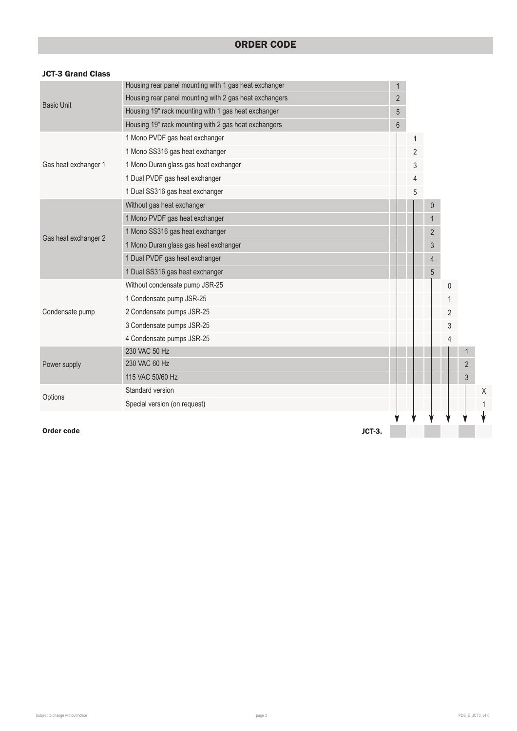# ORDER CODE

## JCT-3 Grand Class

| <b>Basic Unit</b>    | Housing rear panel mounting with 1 gas heat exchanger  | 1              |                         |                |   |                |   |
|----------------------|--------------------------------------------------------|----------------|-------------------------|----------------|---|----------------|---|
|                      | Housing rear panel mounting with 2 gas heat exchangers | $\overline{2}$ |                         |                |   |                |   |
|                      | Housing 19" rack mounting with 1 gas heat exchanger    | 5              |                         |                |   |                |   |
|                      | Housing 19" rack mounting with 2 gas heat exchangers   | $6\phantom{1}$ |                         |                |   |                |   |
| Gas heat exchanger 1 | 1 Mono PVDF gas heat exchanger                         |                | 1                       |                |   |                |   |
|                      | 1 Mono SS316 gas heat exchanger                        |                | $\overline{\mathbf{c}}$ |                |   |                |   |
|                      | 1 Mono Duran glass gas heat exchanger                  |                | 3                       |                |   |                |   |
|                      | 1 Dual PVDF gas heat exchanger                         |                | 4                       |                |   |                |   |
| Gas heat exchanger 2 | 1 Dual SS316 gas heat exchanger                        |                | 5                       |                |   |                |   |
|                      | Without gas heat exchanger                             |                |                         | $\mathbf{0}$   |   |                |   |
|                      | 1 Mono PVDF gas heat exchanger                         |                |                         |                |   |                |   |
|                      | 1 Mono SS316 gas heat exchanger                        |                |                         | $\overline{2}$ |   |                |   |
|                      | 1 Mono Duran glass gas heat exchanger                  |                |                         | $\mathfrak{Z}$ |   |                |   |
|                      | 1 Dual PVDF gas heat exchanger                         |                |                         | 4              |   |                |   |
|                      | 1 Dual SS316 gas heat exchanger                        |                |                         | $\overline{5}$ |   |                |   |
| Condensate pump      | Without condensate pump JSR-25                         |                |                         |                | 0 |                |   |
|                      | 1 Condensate pump JSR-25                               |                |                         |                |   |                |   |
|                      | 2 Condensate pumps JSR-25                              |                |                         |                | 2 |                |   |
|                      | 3 Condensate pumps JSR-25                              |                |                         |                | 3 |                |   |
|                      | 4 Condensate pumps JSR-25                              |                |                         |                | 4 |                |   |
| Power supply         | 230 VAC 50 Hz                                          |                |                         |                |   |                |   |
|                      | 230 VAC 60 Hz                                          |                |                         |                |   | $\overline{2}$ |   |
|                      | 115 VAC 50/60 Hz                                       |                |                         |                |   | 3              |   |
| Options              | Standard version                                       |                |                         |                |   |                | X |
|                      | Special version (on request)                           |                |                         |                |   |                |   |
|                      |                                                        |                |                         |                |   |                |   |

Order code JCT-3.